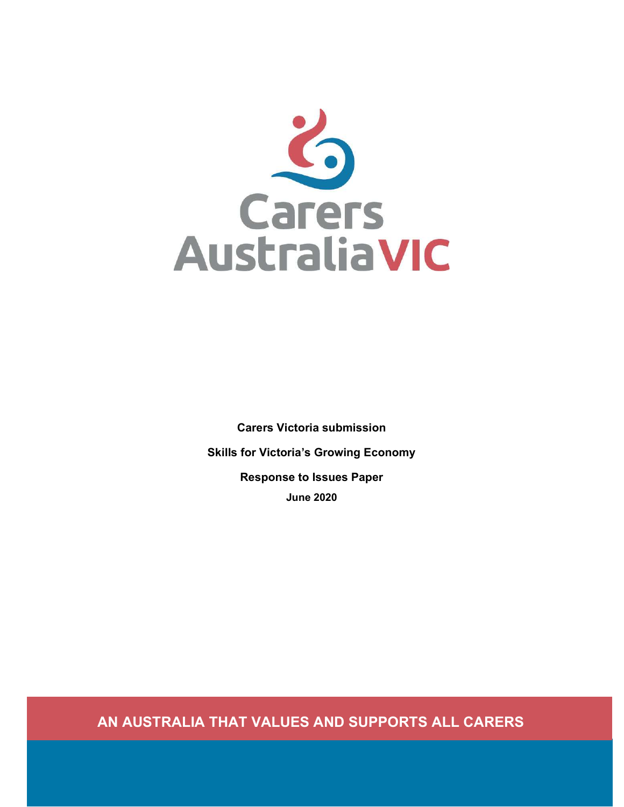

Carers Victoria submission Skills for Victoria's Growing Economy Response to Issues Paper June 2020

AN AUSTRALIA THAT VALUES AND SUPPORTS ALL CARERS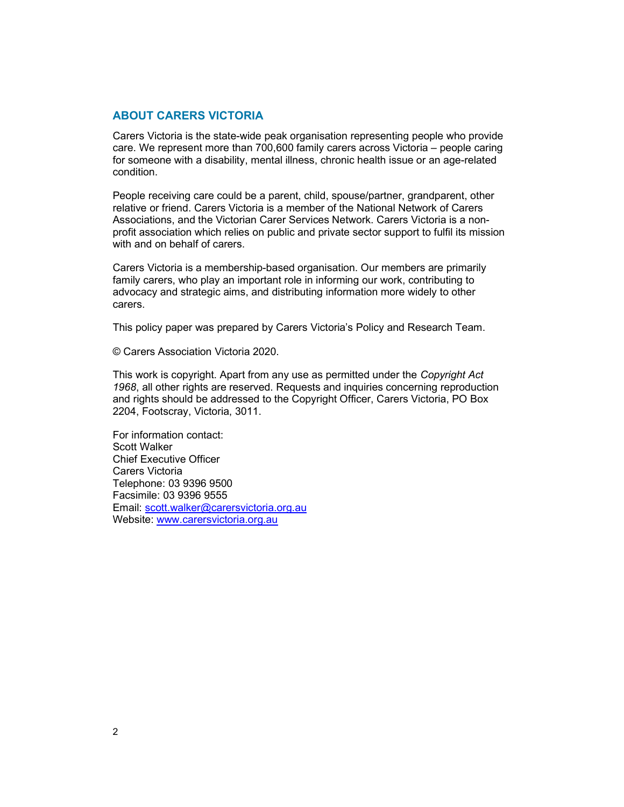#### ABOUT CARERS VICTORIA

Carers Victoria is the state-wide peak organisation representing people who provide care. We represent more than 700,600 family carers across Victoria – people caring for someone with a disability, mental illness, chronic health issue or an age-related condition.

People receiving care could be a parent, child, spouse/partner, grandparent, other relative or friend. Carers Victoria is a member of the National Network of Carers Associations, and the Victorian Carer Services Network. Carers Victoria is a nonprofit association which relies on public and private sector support to fulfil its mission with and on behalf of carers.

Carers Victoria is a membership-based organisation. Our members are primarily family carers, who play an important role in informing our work, contributing to advocacy and strategic aims, and distributing information more widely to other carers.

This policy paper was prepared by Carers Victoria's Policy and Research Team.

© Carers Association Victoria 2020.

This work is copyright. Apart from any use as permitted under the Copyright Act 1968, all other rights are reserved. Requests and inquiries concerning reproduction and rights should be addressed to the Copyright Officer, Carers Victoria, PO Box 2204, Footscray, Victoria, 3011.

For information contact: Scott Walker Chief Executive Officer Carers Victoria Telephone: 03 9396 9500 Facsimile: 03 9396 9555 Email: scott.walker@carersvictoria.org.au Website: www.carersvictoria.org.au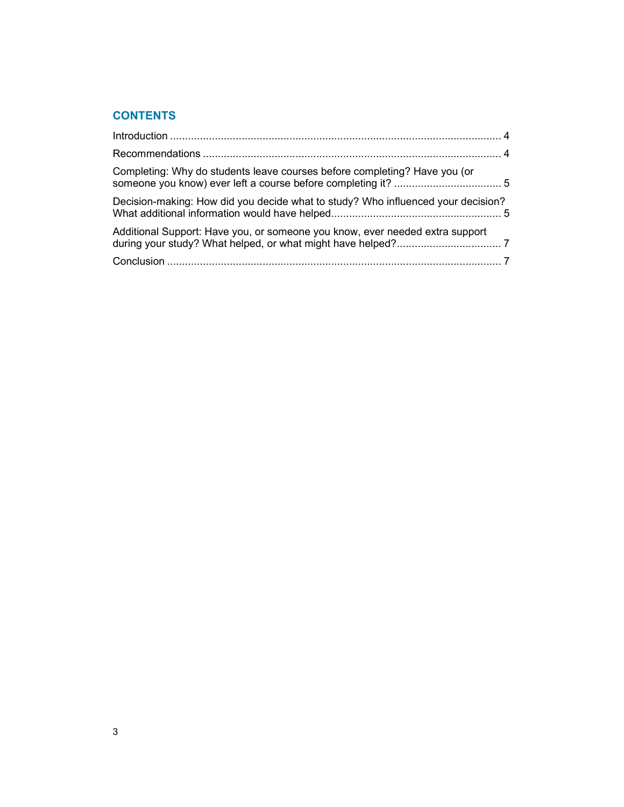# **CONTENTS**

| Completing: Why do students leave courses before completing? Have you (or        |  |
|----------------------------------------------------------------------------------|--|
| Decision-making: How did you decide what to study? Who influenced your decision? |  |
| Additional Support: Have you, or someone you know, ever needed extra support     |  |
|                                                                                  |  |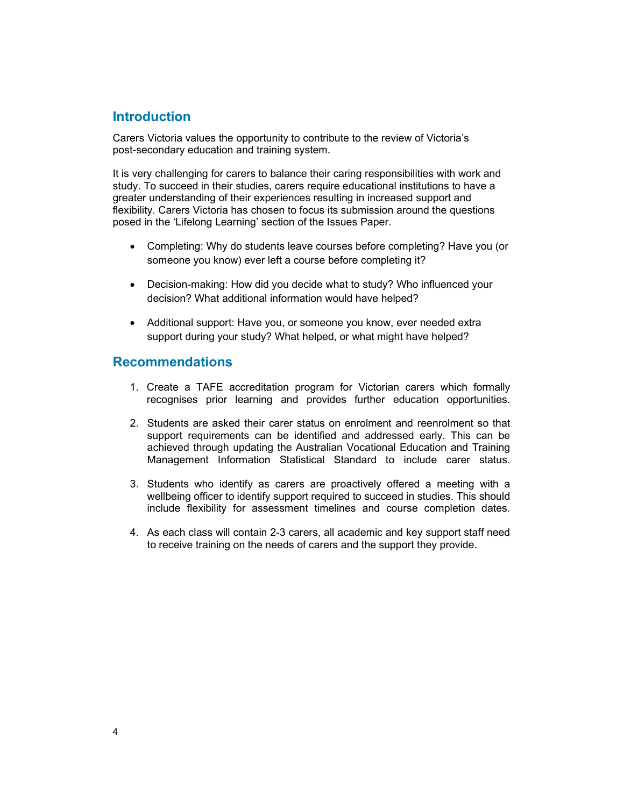### **Introduction**

Carers Victoria values the opportunity to contribute to the review of Victoria's post-secondary education and training system.

It is very challenging for carers to balance their caring responsibilities with work and study. To succeed in their studies, carers require educational institutions to have a greater understanding of their experiences resulting in increased support and flexibility. Carers Victoria has chosen to focus its submission around the questions posed in the 'Lifelong Learning' section of the Issues Paper.

- Completing: Why do students leave courses before completing? Have you (or someone you know) ever left a course before completing it?
- Decision-making: How did you decide what to study? Who influenced your decision? What additional information would have helped?
- Additional support: Have you, or someone you know, ever needed extra support during your study? What helped, or what might have helped?

#### Recommendations

- 1. Create a TAFE accreditation program for Victorian carers which formally recognises prior learning and provides further education opportunities.
- 2. Students are asked their carer status on enrolment and reenrolment so that support requirements can be identified and addressed early. This can be achieved through updating the Australian Vocational Education and Training Management Information Statistical Standard to include carer status.
- 3. Students who identify as carers are proactively offered a meeting with a wellbeing officer to identify support required to succeed in studies. This should include flexibility for assessment timelines and course completion dates.
- 4. As each class will contain 2-3 carers, all academic and key support staff need to receive training on the needs of carers and the support they provide.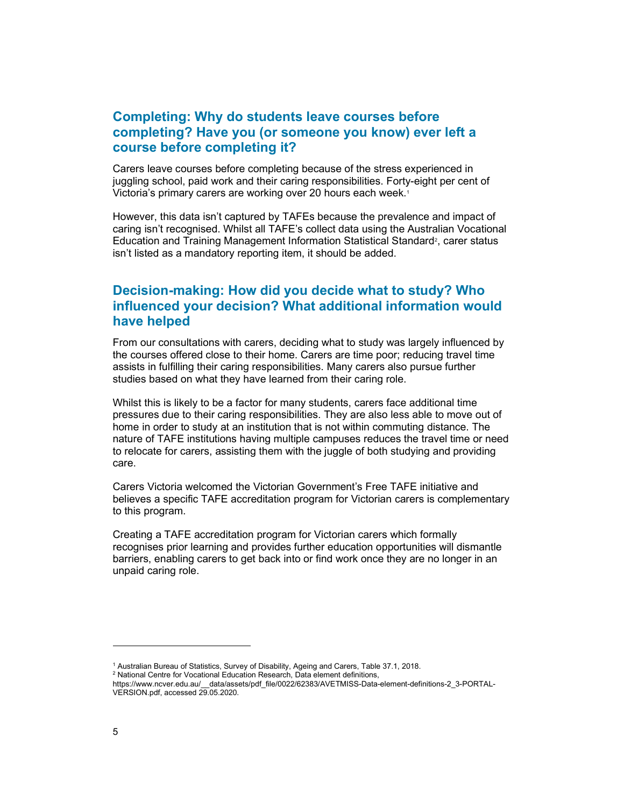## Completing: Why do students leave courses before completing? Have you (or someone you know) ever left a course before completing it?

Carers leave courses before completing because of the stress experienced in juggling school, paid work and their caring responsibilities. Forty-eight per cent of Victoria's primary carers are working over 20 hours each week.<sup>1</sup>

However, this data isn't captured by TAFEs because the prevalence and impact of caring isn't recognised. Whilst all TAFE's collect data using the Australian Vocational Education and Training Management Information Statistical Standard<sup>2</sup>, carer status isn't listed as a mandatory reporting item, it should be added.

# Decision-making: How did you decide what to study? Who influenced your decision? What additional information would have helped

From our consultations with carers, deciding what to study was largely influenced by the courses offered close to their home. Carers are time poor; reducing travel time assists in fulfilling their caring responsibilities. Many carers also pursue further studies based on what they have learned from their caring role.

Whilst this is likely to be a factor for many students, carers face additional time pressures due to their caring responsibilities. They are also less able to move out of home in order to study at an institution that is not within commuting distance. The nature of TAFE institutions having multiple campuses reduces the travel time or need to relocate for carers, assisting them with the juggle of both studying and providing care.

Carers Victoria welcomed the Victorian Government's Free TAFE initiative and believes a specific TAFE accreditation program for Victorian carers is complementary to this program.

Creating a TAFE accreditation program for Victorian carers which formally recognises prior learning and provides further education opportunities will dismantle barriers, enabling carers to get back into or find work once they are no longer in an unpaid caring role.

<sup>1</sup> Australian Bureau of Statistics, Survey of Disability, Ageing and Carers, Table 37.1, 2018.

<sup>&</sup>lt;sup>2</sup> National Centre for Vocational Education Research, Data element definitions,

https://www.ncver.edu.au/\_\_data/assets/pdf\_file/0022/62383/AVETMISS-Data-element-definitions-2\_3-PORTAL-VERSION.pdf, accessed 29.05.2020.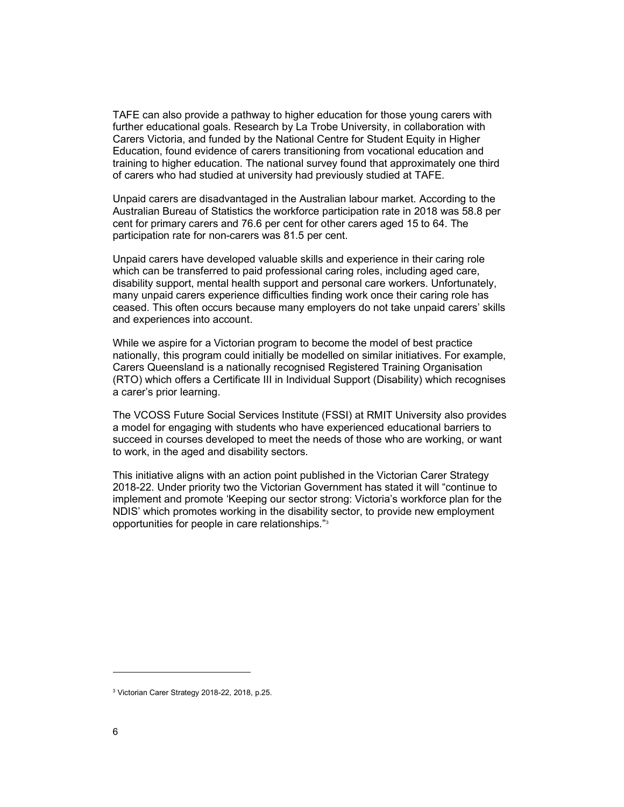TAFE can also provide a pathway to higher education for those young carers with further educational goals. Research by La Trobe University, in collaboration with Carers Victoria, and funded by the National Centre for Student Equity in Higher Education, found evidence of carers transitioning from vocational education and training to higher education. The national survey found that approximately one third of carers who had studied at university had previously studied at TAFE.

Unpaid carers are disadvantaged in the Australian labour market. According to the Australian Bureau of Statistics the workforce participation rate in 2018 was 58.8 per cent for primary carers and 76.6 per cent for other carers aged 15 to 64. The participation rate for non-carers was 81.5 per cent.

Unpaid carers have developed valuable skills and experience in their caring role which can be transferred to paid professional caring roles, including aged care, disability support, mental health support and personal care workers. Unfortunately, many unpaid carers experience difficulties finding work once their caring role has ceased. This often occurs because many employers do not take unpaid carers' skills and experiences into account.

While we aspire for a Victorian program to become the model of best practice nationally, this program could initially be modelled on similar initiatives. For example, Carers Queensland is a nationally recognised Registered Training Organisation (RTO) which offers a Certificate III in Individual Support (Disability) which recognises a carer's prior learning.

The VCOSS Future Social Services Institute (FSSI) at RMIT University also provides a model for engaging with students who have experienced educational barriers to succeed in courses developed to meet the needs of those who are working, or want to work, in the aged and disability sectors.

This initiative aligns with an action point published in the Victorian Carer Strategy 2018-22. Under priority two the Victorian Government has stated it will "continue to implement and promote 'Keeping our sector strong: Victoria's workforce plan for the NDIS' which promotes working in the disability sector, to provide new employment opportunities for people in care relationships."<sup>3</sup>

<sup>3</sup> Victorian Carer Strategy 2018-22, 2018, p.25.